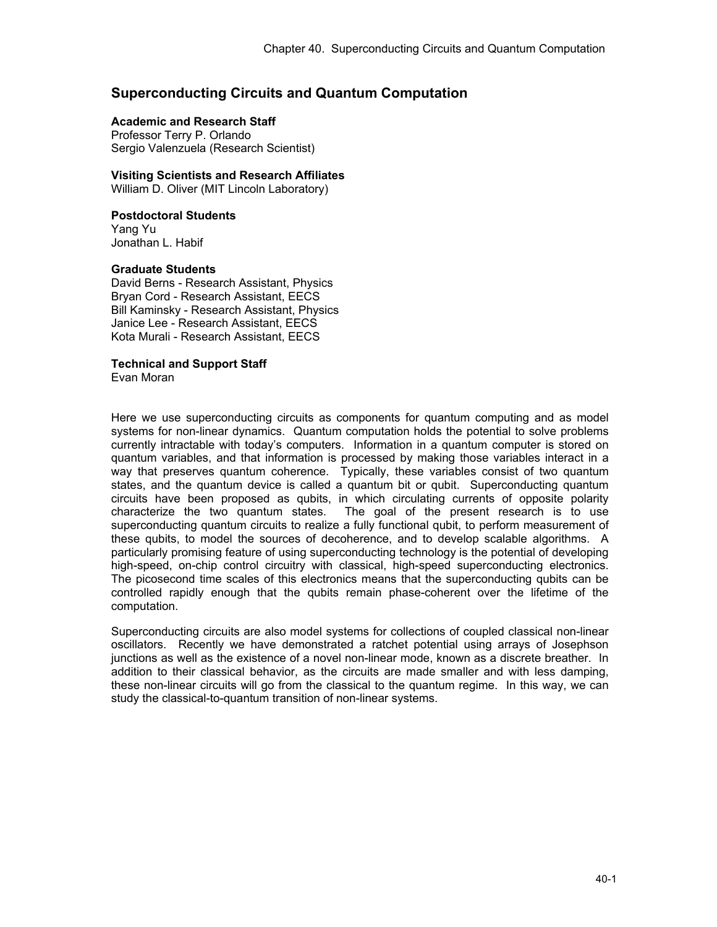# **Superconducting Circuits and Quantum Computation**

# **Academic and Research Staff**

Professor Terry P. Orlando Sergio Valenzuela (Research Scientist)

## **Visiting Scientists and Research Affiliates**

William D. Oliver (MIT Lincoln Laboratory)

## **Postdoctoral Students**

Yang Yu Jonathan L. Habif

## **Graduate Students**

David Berns - Research Assistant, Physics Bryan Cord - Research Assistant, EECS Bill Kaminsky - Research Assistant, Physics Janice Lee - Research Assistant, EECS Kota Murali - Research Assistant, EECS

# **Technical and Support Staff**

Evan Moran

Here we use superconducting circuits as components for quantum computing and as model systems for non-linear dynamics. Quantum computation holds the potential to solve problems currently intractable with today's computers. Information in a quantum computer is stored on quantum variables, and that information is processed by making those variables interact in a way that preserves quantum coherence. Typically, these variables consist of two quantum states, and the quantum device is called a quantum bit or qubit. Superconducting quantum circuits have been proposed as qubits, in which circulating currents of opposite polarity characterize the two quantum states. The goal of the present research is to use superconducting quantum circuits to realize a fully functional qubit, to perform measurement of these qubits, to model the sources of decoherence, and to develop scalable algorithms. A particularly promising feature of using superconducting technology is the potential of developing high-speed, on-chip control circuitry with classical, high-speed superconducting electronics. The picosecond time scales of this electronics means that the superconducting qubits can be controlled rapidly enough that the qubits remain phase-coherent over the lifetime of the computation.

Superconducting circuits are also model systems for collections of coupled classical non-linear oscillators. Recently we have demonstrated a ratchet potential using arrays of Josephson junctions as well as the existence of a novel non-linear mode, known as a discrete breather. In addition to their classical behavior, as the circuits are made smaller and with less damping, these non-linear circuits will go from the classical to the quantum regime. In this way, we can study the classical-to-quantum transition of non-linear systems.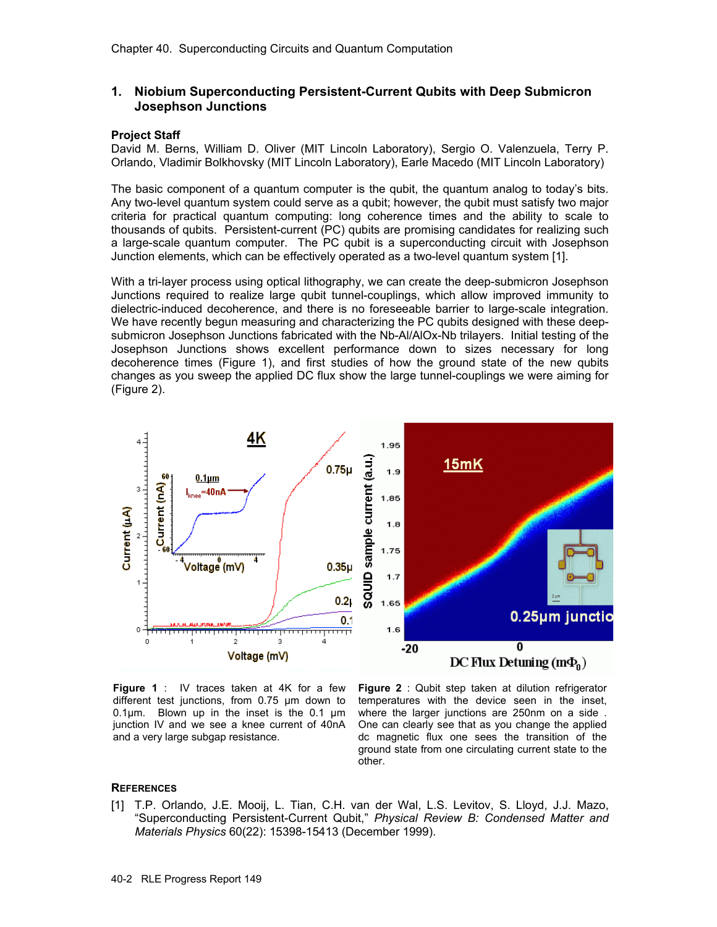# **1. Niobium Superconducting Persistent-Current Qubits with Deep Submicron Josephson Junctions**

## **Project Staff**

David M. Berns, William D. Oliver (MIT Lincoln Laboratory), Sergio O. Valenzuela, Terry P. Orlando, Vladimir Bolkhovsky (MIT Lincoln Laboratory), Earle Macedo (MIT Lincoln Laboratory)

The basic component of a quantum computer is the qubit, the quantum analog to today's bits. Any two-level quantum system could serve as a qubit; however, the qubit must satisfy two major criteria for practical quantum computing: long coherence times and the ability to scale to thousands of qubits. Persistent-current (PC) qubits are promising candidates for realizing such a large-scale quantum computer. The PC qubit is a superconducting circuit with Josephson Junction elements, which can be effectively operated as a two-level quantum system [1].

With a tri-layer process using optical lithography, we can create the deep-submicron Josephson Junctions required to realize large qubit tunnel-couplings, which allow improved immunity to dielectric-induced decoherence, and there is no foreseeable barrier to large-scale integration. We have recently begun measuring and characterizing the PC qubits designed with these deepsubmicron Josephson Junctions fabricated with the Nb-Al/AlOx-Nb trilayers. Initial testing of the Josephson Junctions shows excellent performance down to sizes necessary for long decoherence times (Figure 1), and first studies of how the ground state of the new qubits changes as you sweep the applied DC flux show the large tunnel-couplings we were aiming for (Figure 2).



**Figure 1** : IV traces taken at 4K for a few different test junctions, from 0.75 µm down to 0.1 $\mu$ m. Blown up in the inset is the 0.1  $\mu$ m junction IV and we see a knee current of 40nA and a very large subgap resistance.

**Figure 2** : Qubit step taken at dilution refrigerator temperatures with the device seen in the inset, where the larger junctions are 250nm on a side . One can clearly see that as you change the applied dc magnetic flux one sees the transition of the ground state from one circulating current state to the other.

## **REFERENCES**

[1] T.P. Orlando, J.E. Mooij, L. Tian, C.H. van der Wal, L.S. Levitov, S. Lloyd, J.J. Mazo, "Superconducting Persistent-Current Qubit," *Physical Review B: Condensed Matter and Materials Physics* 60(22): 15398-15413 (December 1999).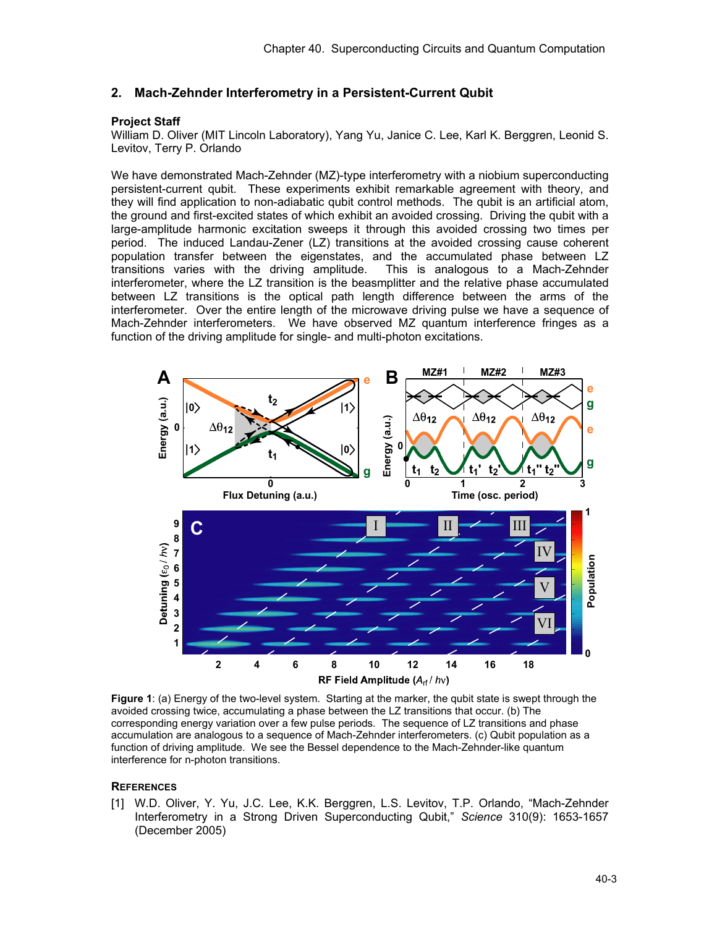# **2. Mach-Zehnder Interferometry in a Persistent-Current Qubit**

# **Project Staff**

William D. Oliver (MIT Lincoln Laboratory), Yang Yu, Janice C. Lee, Karl K. Berggren, Leonid S. Levitov, Terry P. Orlando

We have demonstrated Mach-Zehnder (MZ)-type interferometry with a niobium superconducting persistent-current qubit. These experiments exhibit remarkable agreement with theory, and they will find application to non-adiabatic qubit control methods. The qubit is an artificial atom, the ground and first-excited states of which exhibit an avoided crossing. Driving the qubit with a large-amplitude harmonic excitation sweeps it through this avoided crossing two times per period. The induced Landau-Zener (LZ) transitions at the avoided crossing cause coherent population transfer between the eigenstates, and the accumulated phase between LZ transitions varies with the driving amplitude. This is analogous to a Mach-Zehnder interferometer, where the LZ transition is the beasmplitter and the relative phase accumulated between LZ transitions is the optical path length difference between the arms of the interferometer. Over the entire length of the microwave driving pulse we have a sequence of Mach-Zehnder interferometers. We have observed MZ quantum interference fringes as a function of the driving amplitude for single- and multi-photon excitations.



**Figure 1**: (a) Energy of the two-level system. Starting at the marker, the qubit state is swept through the avoided crossing twice, accumulating a phase between the LZ transitions that occur. (b) The corresponding energy variation over a few pulse periods. The sequence of LZ transitions and phase accumulation are analogous to a sequence of Mach-Zehnder interferometers. (c) Qubit population as a function of driving amplitude. We see the Bessel dependence to the Mach-Zehnder-like quantum interference for n-photon transitions.

## **REFERENCES**

[1] W.D. Oliver, Y. Yu, J.C. Lee, K.K. Berggren, L.S. Levitov, T.P. Orlando, "Mach-Zehnder Interferometry in a Strong Driven Superconducting Qubit," *Science* 310(9): 1653-1657 (December 2005)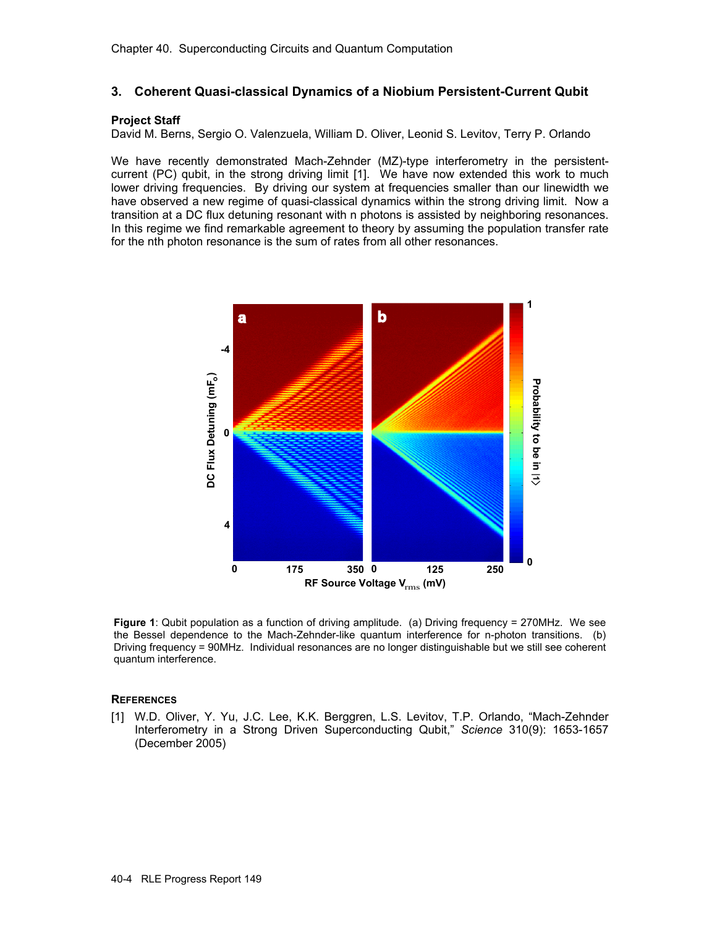# **3. Coherent Quasi-classical Dynamics of a Niobium Persistent-Current Qubit**

#### **Project Staff**

David M. Berns, Sergio O. Valenzuela, William D. Oliver, Leonid S. Levitov, Terry P. Orlando

We have recently demonstrated Mach-Zehnder (MZ)-type interferometry in the persistentcurrent (PC) qubit, in the strong driving limit [1]. We have now extended this work to much lower driving frequencies. By driving our system at frequencies smaller than our linewidth we have observed a new regime of quasi-classical dynamics within the strong driving limit. Now a transition at a DC flux detuning resonant with n photons is assisted by neighboring resonances. In this regime we find remarkable agreement to theory by assuming the population transfer rate for the nth photon resonance is the sum of rates from all other resonances.



**Figure 1**: Qubit population as a function of driving amplitude. (a) Driving frequency = 270MHz. We see the Bessel dependence to the Mach-Zehnder-like quantum interference for n-photon transitions. (b) Driving frequency = 90MHz. Individual resonances are no longer distinguishable but we still see coherent quantum interference.

#### **REFERENCES**

[1] W.D. Oliver, Y. Yu, J.C. Lee, K.K. Berggren, L.S. Levitov, T.P. Orlando, "Mach-Zehnder Interferometry in a Strong Driven Superconducting Qubit," *Science* 310(9): 1653-1657 (December 2005)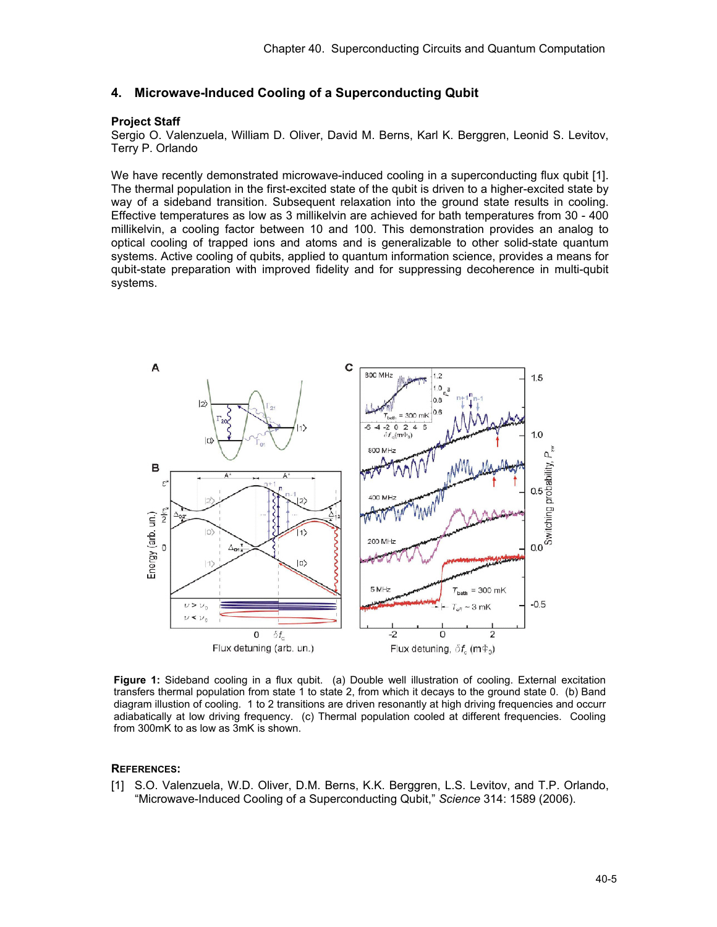# **4. Microwave-Induced Cooling of a Superconducting Qubit**

#### **Project Staff**

Sergio O. Valenzuela, William D. Oliver, David M. Berns, Karl K. Berggren, Leonid S. Levitov, Terry P. Orlando

We have recently demonstrated microwave-induced cooling in a superconducting flux qubit [1]. The thermal population in the first-excited state of the qubit is driven to a higher-excited state by way of a sideband transition. Subsequent relaxation into the ground state results in cooling. Effective temperatures as low as 3 millikelvin are achieved for bath temperatures from 30 - 400 millikelvin, a cooling factor between 10 and 100. This demonstration provides an analog to optical cooling of trapped ions and atoms and is generalizable to other solid-state quantum systems. Active cooling of qubits, applied to quantum information science, provides a means for qubit-state preparation with improved fidelity and for suppressing decoherence in multi-qubit systems.



**Figure 1:** Sideband cooling in a flux qubit. (a) Double well illustration of cooling. External excitation transfers thermal population from state 1 to state 2, from which it decays to the ground state 0. (b) Band diagram illustion of cooling. 1 to 2 transitions are driven resonantly at high driving frequencies and occurr adiabatically at low driving frequency. (c) Thermal population cooled at different frequencies. Cooling from 300mK to as low as 3mK is shown.

#### **REFERENCES:**

[1] S.O. Valenzuela, W.D. Oliver, D.M. Berns, K.K. Berggren, L.S. Levitov, and T.P. Orlando, "Microwave-Induced Cooling of a Superconducting Qubit," *Science* 314: 1589 (2006).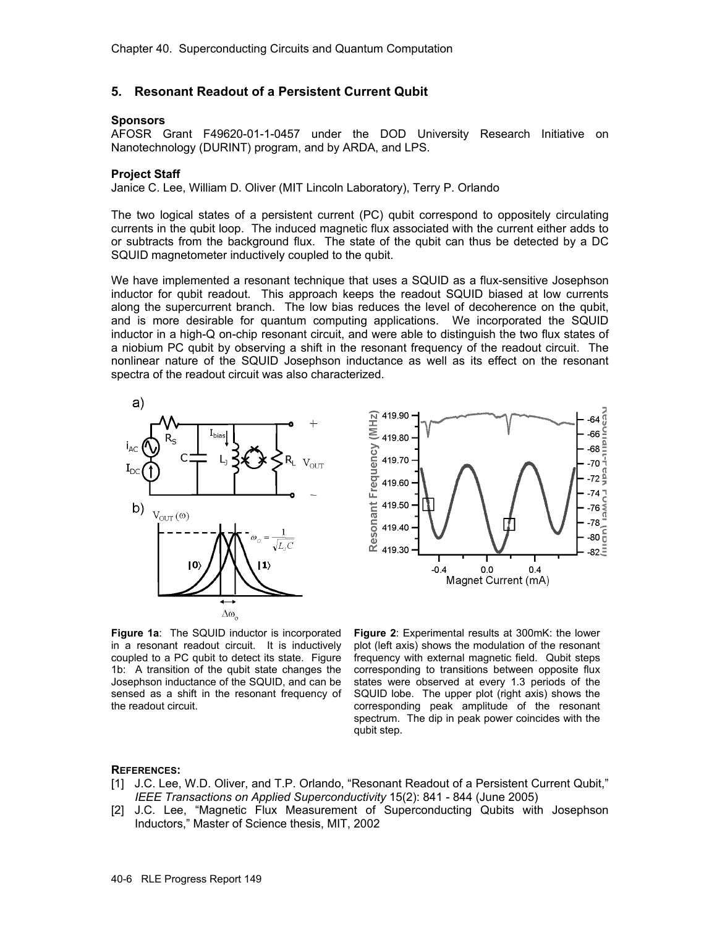# **5. Resonant Readout of a Persistent Current Qubit**

#### **Sponsors**

AFOSR Grant F49620-01-1-0457 under the DOD University Research Initiative on Nanotechnology (DURINT) program, and by ARDA, and LPS.

#### **Project Staff**

Janice C. Lee, William D. Oliver (MIT Lincoln Laboratory), Terry P. Orlando

The two logical states of a persistent current (PC) qubit correspond to oppositely circulating currents in the qubit loop. The induced magnetic flux associated with the current either adds to or subtracts from the background flux. The state of the qubit can thus be detected by a DC SQUID magnetometer inductively coupled to the qubit.

We have implemented a resonant technique that uses a SQUID as a flux-sensitive Josephson inductor for qubit readout. This approach keeps the readout SQUID biased at low currents along the supercurrent branch. The low bias reduces the level of decoherence on the qubit, and is more desirable for quantum computing applications. We incorporated the SQUID inductor in a high-Q on-chip resonant circuit, and were able to distinguish the two flux states of a niobium PC qubit by observing a shift in the resonant frequency of the readout circuit. The nonlinear nature of the SQUID Josephson inductance as well as its effect on the resonant spectra of the readout circuit was also characterized.



**Figure 1a**: The SQUID inductor is incorporated in a resonant readout circuit. It is inductively coupled to a PC qubit to detect its state. Figure 1b: A transition of the qubit state changes the Josephson inductance of the SQUID, and can be sensed as a shift in the resonant frequency of the readout circuit.

**Figure 2**: Experimental results at 300mK: the lower plot (left axis) shows the modulation of the resonant frequency with external magnetic field. Qubit steps corresponding to transitions between opposite flux states were observed at every 1.3 periods of the SQUID lobe. The upper plot (right axis) shows the corresponding peak amplitude of the resonant spectrum. The dip in peak power coincides with the qubit step.

ã 64 Σ -66

-68

 $70$ Bal

-74 **LOWEI** 

-76

78

 $-80\frac{2}{5}$ 

 $82\bar{5}$ 

#### **REFERENCES:**

- [1] J.C. Lee, W.D. Oliver, and T.P. Orlando, "Resonant Readout of a Persistent Current Qubit," *IEEE Transactions on Applied Superconductivity* 15(2): 841 - 844 (June 2005)
- [2] J.C. Lee, "Magnetic Flux Measurement of Superconducting Qubits with Josephson Inductors," Master of Science thesis, MIT, 2002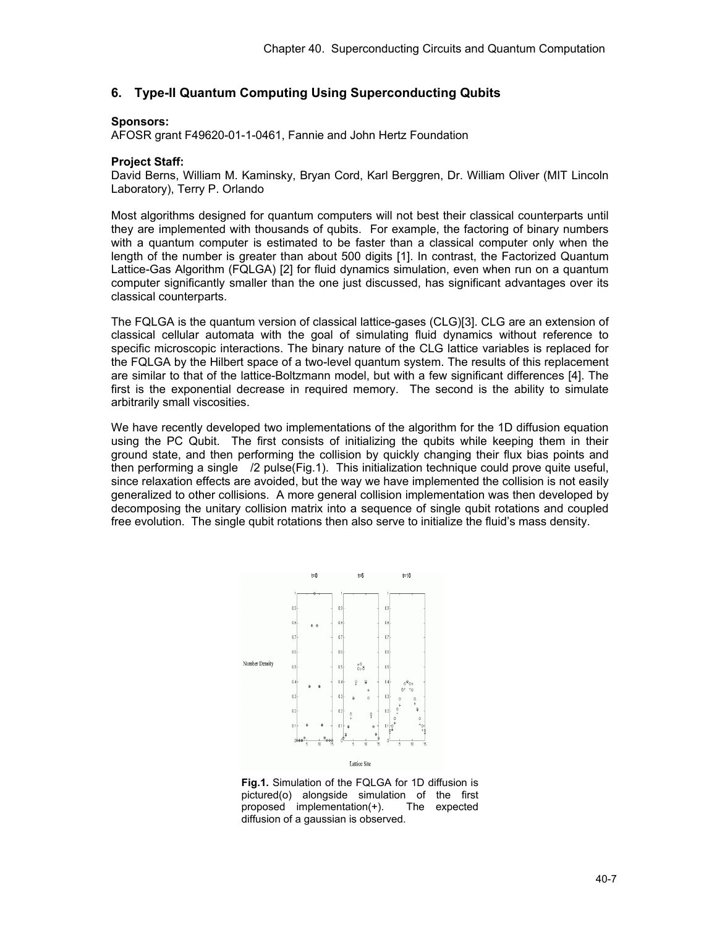# **6. Type-II Quantum Computing Using Superconducting Qubits**

## **Sponsors:**

AFOSR grant F49620-01-1-0461, Fannie and John Hertz Foundation

# **Project Staff:**

David Berns, William M. Kaminsky, Bryan Cord, Karl Berggren, Dr. William Oliver (MIT Lincoln Laboratory), Terry P. Orlando

Most algorithms designed for quantum computers will not best their classical counterparts until they are implemented with thousands of qubits. For example, the factoring of binary numbers with a quantum computer is estimated to be faster than a classical computer only when the length of the number is greater than about 500 digits [1]. In contrast, the Factorized Quantum Lattice-Gas Algorithm (FQLGA) [2] for fluid dynamics simulation, even when run on a quantum computer significantly smaller than the one just discussed, has significant advantages over its classical counterparts.

The FQLGA is the quantum version of classical lattice-gases (CLG)[3]. CLG are an extension of classical cellular automata with the goal of simulating fluid dynamics without reference to specific microscopic interactions. The binary nature of the CLG lattice variables is replaced for the FQLGA by the Hilbert space of a two-level quantum system. The results of this replacement are similar to that of the lattice-Boltzmann model, but with a few significant differences [4]. The first is the exponential decrease in required memory. The second is the ability to simulate arbitrarily small viscosities.

We have recently developed two implementations of the algorithm for the 1D diffusion equation using the PC Qubit. The first consists of initializing the qubits while keeping them in their ground state, and then performing the collision by quickly changing their flux bias points and then performing a single /2 pulse(Fig.1). This initialization technique could prove quite useful, since relaxation effects are avoided, but the way we have implemented the collision is not easily generalized to other collisions. A more general collision implementation was then developed by decomposing the unitary collision matrix into a sequence of single qubit rotations and coupled free evolution. The single qubit rotations then also serve to initialize the fluid's mass density.



**Fig.1.** Simulation of the FQLGA for 1D diffusion is pictured(o) alongside simulation of the first proposed implementation(+). The expected diffusion of a gaussian is observed.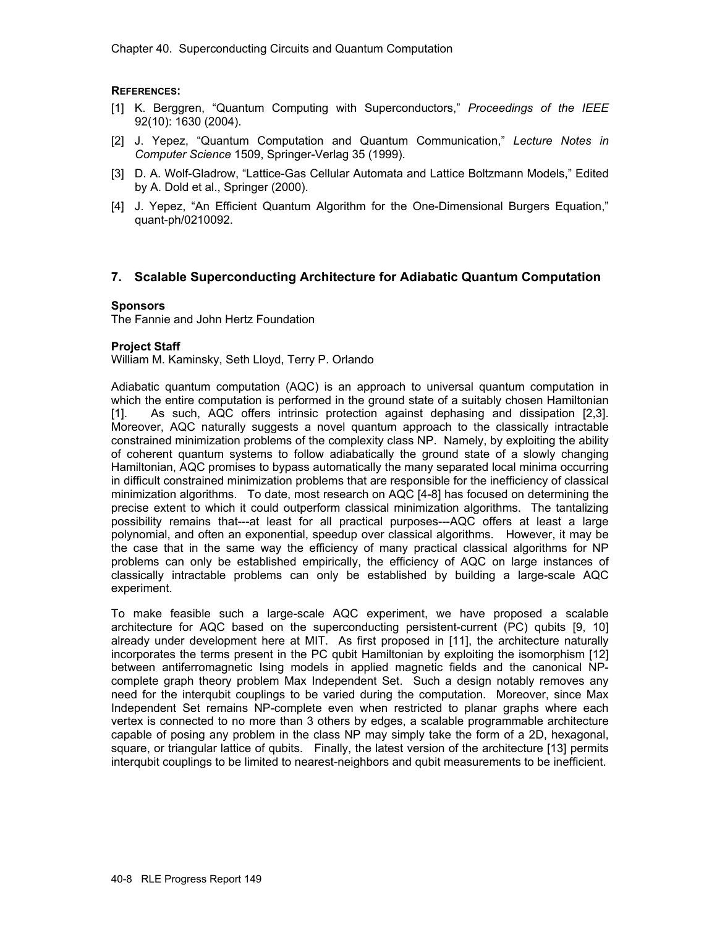# **REFERENCES:**

- [1] K. Berggren, "Quantum Computing with Superconductors," *Proceedings of the IEEE* 92(10): 1630 (2004).
- [2] J. Yepez, "Quantum Computation and Quantum Communication," *Lecture Notes in Computer Science* 1509, Springer-Verlag 35 (1999).
- [3] D. A. Wolf-Gladrow, "Lattice-Gas Cellular Automata and Lattice Boltzmann Models," Edited by A. Dold et al., Springer (2000).
- [4] J. Yepez, "An Efficient Quantum Algorithm for the One-Dimensional Burgers Equation," quant-ph/0210092.

# **7. Scalable Superconducting Architecture for Adiabatic Quantum Computation**

## **Sponsors**

The Fannie and John Hertz Foundation

# **Project Staff**

William M. Kaminsky, Seth Lloyd, Terry P. Orlando

Adiabatic quantum computation (AQC) is an approach to universal quantum computation in which the entire computation is performed in the ground state of a suitably chosen Hamiltonian [1]. As such, AQC offers intrinsic protection against dephasing and dissipation [2,3]. Moreover, AQC naturally suggests a novel quantum approach to the classically intractable constrained minimization problems of the complexity class NP. Namely, by exploiting the ability of coherent quantum systems to follow adiabatically the ground state of a slowly changing Hamiltonian, AQC promises to bypass automatically the many separated local minima occurring in difficult constrained minimization problems that are responsible for the inefficiency of classical minimization algorithms. To date, most research on AQC [4-8] has focused on determining the precise extent to which it could outperform classical minimization algorithms. The tantalizing possibility remains that---at least for all practical purposes---AQC offers at least a large polynomial, and often an exponential, speedup over classical algorithms. However, it may be the case that in the same way the efficiency of many practical classical algorithms for NP problems can only be established empirically, the efficiency of AQC on large instances of classically intractable problems can only be established by building a large-scale AQC experiment.

To make feasible such a large-scale AQC experiment, we have proposed a scalable architecture for AQC based on the superconducting persistent-current (PC) qubits [9, 10] already under development here at MIT. As first proposed in [11], the architecture naturally incorporates the terms present in the PC qubit Hamiltonian by exploiting the isomorphism [12] between antiferromagnetic Ising models in applied magnetic fields and the canonical NPcomplete graph theory problem Max Independent Set. Such a design notably removes any need for the interqubit couplings to be varied during the computation. Moreover, since Max Independent Set remains NP-complete even when restricted to planar graphs where each vertex is connected to no more than 3 others by edges, a scalable programmable architecture capable of posing any problem in the class NP may simply take the form of a 2D, hexagonal, square, or triangular lattice of qubits. Finally, the latest version of the architecture [13] permits interqubit couplings to be limited to nearest-neighbors and qubit measurements to be inefficient.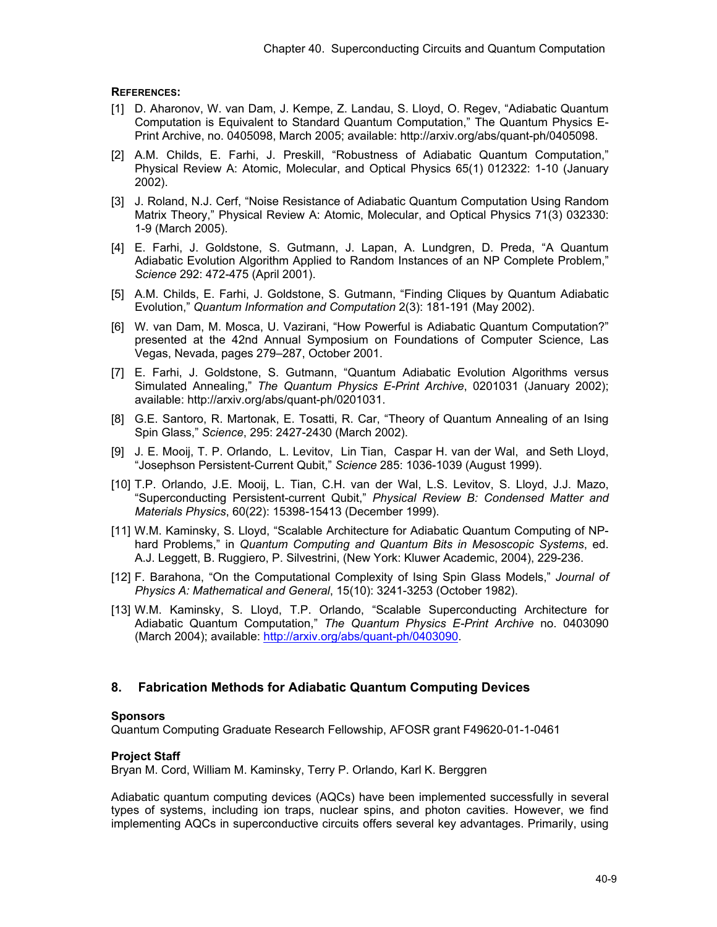## **REFERENCES:**

- [1] D. Aharonov, W. van Dam, J. Kempe, Z. Landau, S. Lloyd, O. Regev, "Adiabatic Quantum Computation is Equivalent to Standard Quantum Computation," The Quantum Physics E-Print Archive, no. 0405098, March 2005; available: http://arxiv.org/abs/quant-ph/0405098.
- [2] A.M. Childs, E. Farhi, J. Preskill, "Robustness of Adiabatic Quantum Computation," Physical Review A: Atomic, Molecular, and Optical Physics 65(1) 012322: 1-10 (January 2002).
- [3] J. Roland, N.J. Cerf, "Noise Resistance of Adiabatic Quantum Computation Using Random Matrix Theory," Physical Review A: Atomic, Molecular, and Optical Physics 71(3) 032330: 1-9 (March 2005).
- [4] E. Farhi, J. Goldstone, S. Gutmann, J. Lapan, A. Lundgren, D. Preda, "A Quantum Adiabatic Evolution Algorithm Applied to Random Instances of an NP Complete Problem," *Science* 292: 472-475 (April 2001).
- [5] A.M. Childs, E. Farhi, J. Goldstone, S. Gutmann, "Finding Cliques by Quantum Adiabatic Evolution," *Quantum Information and Computation* 2(3): 181-191 (May 2002).
- [6] W. van Dam, M. Mosca, U. Vazirani, "How Powerful is Adiabatic Quantum Computation?" presented at the 42nd Annual Symposium on Foundations of Computer Science, Las Vegas, Nevada, pages 279–287, October 2001.
- [7] E. Farhi, J. Goldstone, S. Gutmann, "Quantum Adiabatic Evolution Algorithms versus Simulated Annealing," *The Quantum Physics E-Print Archive*, 0201031 (January 2002); available: http://arxiv.org/abs/quant-ph/0201031.
- [8] G.E. Santoro, R. Martonak, E. Tosatti, R. Car, "Theory of Quantum Annealing of an Ising Spin Glass," *Science*, 295: 2427-2430 (March 2002).
- [9] J. E. Mooij, T. P. Orlando, L. Levitov, Lin Tian, Caspar H. van der Wal, and Seth Lloyd, "Josephson Persistent-Current Qubit," *Science* 285: 1036-1039 (August 1999).
- [10] T.P. Orlando, J.E. Mooij, L. Tian, C.H. van der Wal, L.S. Levitov, S. Lloyd, J.J. Mazo, "Superconducting Persistent-current Qubit," *Physical Review B: Condensed Matter and Materials Physics*, 60(22): 15398-15413 (December 1999).
- [11] W.M. Kaminsky, S. Lloyd, "Scalable Architecture for Adiabatic Quantum Computing of NPhard Problems," in *Quantum Computing and Quantum Bits in Mesoscopic Systems*, ed. A.J. Leggett, B. Ruggiero, P. Silvestrini, (New York: Kluwer Academic, 2004), 229-236.
- [12] F. Barahona, "On the Computational Complexity of Ising Spin Glass Models," *Journal of Physics A: Mathematical and General*, 15(10): 3241-3253 (October 1982).
- [13] W.M. Kaminsky, S. Lloyd, T.P. Orlando, "Scalable Superconducting Architecture for Adiabatic Quantum Computation," *The Quantum Physics E-Print Archive* no. 0403090 (March 2004); available: http://arxiv.org/abs/quant-ph/0403090.

# **8. Fabrication Methods for Adiabatic Quantum Computing Devices**

## **Sponsors**

Quantum Computing Graduate Research Fellowship, AFOSR grant F49620-01-1-0461

## **Project Staff**

Bryan M. Cord, William M. Kaminsky, Terry P. Orlando, Karl K. Berggren

Adiabatic quantum computing devices (AQCs) have been implemented successfully in several types of systems, including ion traps, nuclear spins, and photon cavities. However, we find implementing AQCs in superconductive circuits offers several key advantages. Primarily, using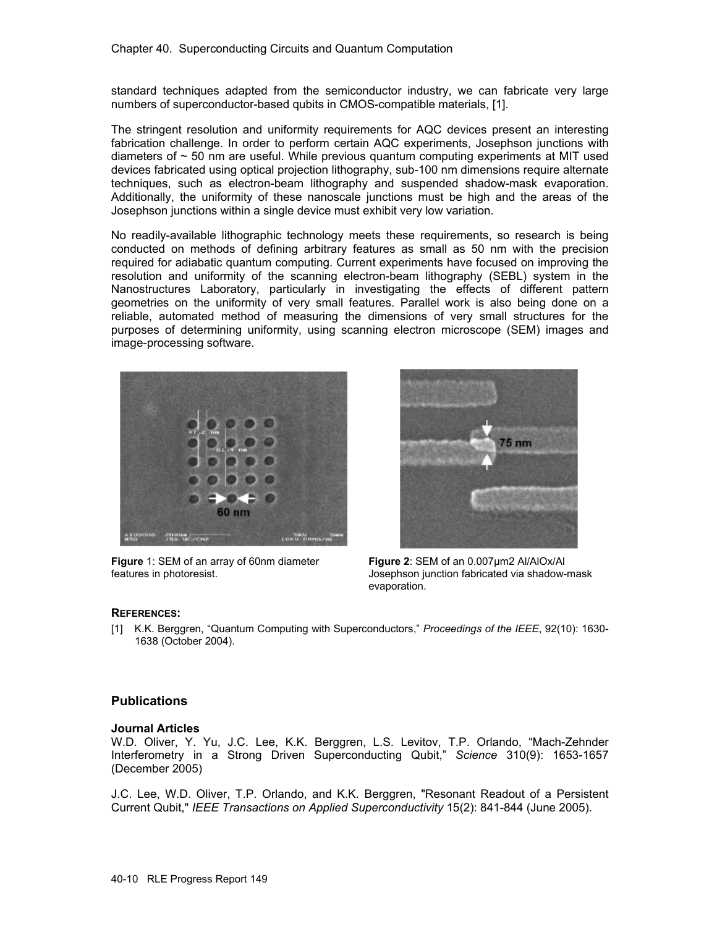standard techniques adapted from the semiconductor industry, we can fabricate very large numbers of superconductor-based qubits in CMOS-compatible materials, [1].

The stringent resolution and uniformity requirements for AQC devices present an interesting fabrication challenge. In order to perform certain AQC experiments, Josephson junctions with diameters of  $\sim$  50 nm are useful. While previous quantum computing experiments at MIT used devices fabricated using optical projection lithography, sub-100 nm dimensions require alternate techniques, such as electron-beam lithography and suspended shadow-mask evaporation. Additionally, the uniformity of these nanoscale junctions must be high and the areas of the Josephson junctions within a single device must exhibit very low variation.

No readily-available lithographic technology meets these requirements, so research is being conducted on methods of defining arbitrary features as small as 50 nm with the precision required for adiabatic quantum computing. Current experiments have focused on improving the resolution and uniformity of the scanning electron-beam lithography (SEBL) system in the Nanostructures Laboratory, particularly in investigating the effects of different pattern geometries on the uniformity of very small features. Parallel work is also being done on a reliable, automated method of measuring the dimensions of very small structures for the purposes of determining uniformity, using scanning electron microscope (SEM) images and image-processing software.



**Figure** 1: SEM of an array of 60nm diameter features in photoresist.



**Figure 2**: SEM of an 0.007µm2 Al/AlOx/Al Josephson junction fabricated via shadow-mask evaporation.

#### **REFERENCES:**

[1] K.K. Berggren, "Quantum Computing with Superconductors," *Proceedings of the IEEE*, 92(10): 1630- 1638 (October 2004).

## **Publications**

#### **Journal Articles**

W.D. Oliver, Y. Yu, J.C. Lee, K.K. Berggren, L.S. Levitov, T.P. Orlando, "Mach-Zehnder Interferometry in a Strong Driven Superconducting Qubit," *Science* 310(9): 1653-1657 (December 2005)

J.C. Lee, W.D. Oliver, T.P. Orlando, and K.K. Berggren, "Resonant Readout of a Persistent Current Qubit," *IEEE Transactions on Applied Superconductivity* 15(2): 841-844 (June 2005).